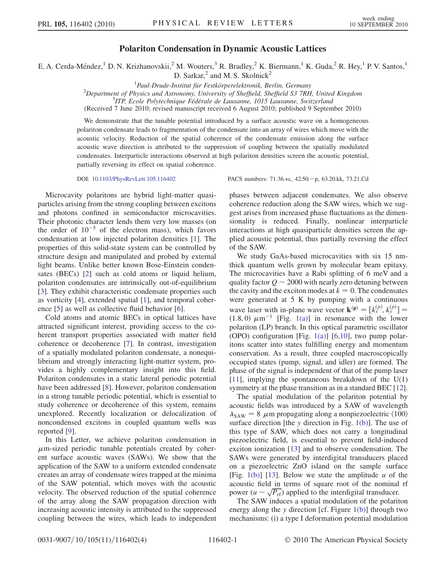## Polariton Condensation in Dynamic Acoustic Lattices

E. A. Cerda-Méndez,<sup>1</sup> D. N. Krizhanovskii,<sup>2</sup> M. Wouters,<sup>3</sup> R. Bradley,<sup>2</sup> K. Biermann,<sup>1</sup> K. Guda,<sup>2</sup> R. Hey,<sup>1</sup> P. V. Santos,<sup>1</sup>

D. Sarkar, $^2$  and M. S. Skolnick $^2$ 

<sup>1</sup> Paul-Drude-Institut für Festkörperelektronik, Berlin, Germany<br><sup>2</sup> Department of Physics and Astronomy University of Skeffield, Skeffeld, S2, 7PH

 $12$ Department of Physics and Astronomy, University of Sheffield, Sheffield S3 7RH, United Kingdom

 $3$ ITP, Ecole Polytechnique Fédérale de Lausanne, 1015 Lausanne, Switzerland

(Received 7 June 2010; revised manuscript received 6 August 2010; published 9 September 2010)

We demonstrate that the tunable potential introduced by a surface acoustic wave on a homogeneous polariton condensate leads to fragmentation of the condensate into an array of wires which move with the acoustic velocity. Reduction of the spatial coherence of the condensate emission along the surface acoustic wave direction is attributed to the suppression of coupling between the spatially modulated condensates. Interparticle interactions observed at high polariton densities screen the acoustic potential, partially reversing its effect on spatial coherence.

Microcavity polaritons are hybrid light-matter quasiparticles arising from the strong coupling between excitons and photons confined in semiconductor microcavities. Their photonic character lends them very low masses (on the order of  $10^{-5}$  of the electron mass), which favors condensation at low injected polariton densities [\[1\]](#page-3-0). The properties of this solid-state system can be controlled by structure design and manipulated and probed by external light beams. Unlike better known Bose-Einstein condensates (BECs) [\[2](#page-3-1)] such as cold atoms or liquid helium, polariton condensates are intrinsically out-of-equilibrium [\[3\]](#page-3-2). They exhibit characteristic condensate properties such as vorticity [\[4\]](#page-3-3), extended spatial [\[1\]](#page-3-0), and temporal coherence [[5\]](#page-3-4) as well as collective fluid behavior [\[6](#page-3-5)].

Cold atoms and atomic BECs in optical lattices have attracted significant interest, providing access to the coherent transport properties associated with matter field coherence or decoherence [\[7\]](#page-3-6). In contrast, investigation of a spatially modulated polariton condensate, a nonequilibrium and strongly interacting light-matter system, provides a highly complementary insight into this field. Polariton condensates in a static lateral periodic potential have been addressed [\[8](#page-3-7)]. However, polariton condensation in a strong tunable periodic potential, which is essential to study coherence or decoherence of this system, remains unexplored. Recently localization or delocalization of noncondensed excitons in coupled quantum wells was reported [\[9\]](#page-3-8).

In this Letter, we achieve polariton condensation in  $\mu$ m-sized periodic tunable potentials created by coherent surface acoustic waves (SAWs). We show that the application of the SAW to a uniform extended condensate creates an array of condensate wires trapped at the minima of the SAW potential, which moves with the acoustic velocity. The observed reduction of the spatial coherence of the array along the SAW propagation direction with increasing acoustic intensity is attributed to the suppressed coupling between the wires, which leads to independent

DOI: [10.1103/PhysRevLett.105.116402](http://dx.doi.org/10.1103/PhysRevLett.105.116402) PACS numbers: 71.36.+c, 42.50.p, 63.20.kk, 73.21.Cd

phases between adjacent condensates. We also observe coherence reduction along the SAW wires, which we suggest arises from increased phase fluctuations as the dimensionality is reduced. Finally, nonlinear interparticle interactions at high quasiparticle densities screen the applied acoustic potential, thus partially reversing the effect of the SAW.

We study GaAs-based microcavities with six 15 nmthick quantum wells grown by molecular beam epitaxy. The microcavities have a Rabi splitting of 6 meV and a quality factor  $Q \sim 2000$  with nearly zero detuning between<br>the cavity and the exciton modes at  $k = 0$ . The condensates the cavity and the exciton modes at  $k = 0$ . The condensates were generated at 5 K by pumping with a continuous wave laser with in-plane wave vector  $\mathbf{k}^{(\mathbf{p})} = [k_x^{(p)}, k_y^{(p)}] =$ (1.8, 0)  $\mu$ m<sup>-1</sup> [Fig. [1\(a\)\]](#page-1-0) in resonance with the lower<br>polariton (I P) branch. In this optical parametric oscillator polariton (LP) branch. In this optical parametric oscillator (OPO) configuration [Fig. [1\(a\)\]](#page-1-0)  $[6,10]$  $[6,10]$  $[6,10]$  $[6,10]$  $[6,10]$ , two pump polaritons scatter into states fulfilling energy and momentum conservation. As a result, three coupled macroscopically occupied states (pump, signal, and idler) are formed. The phase of the signal is independent of that of the pump laser [\[11\]](#page-3-10), implying the spontaneous breakdown of the U(1) symmetry at the phase transition as in a standard BEC [[12\]](#page-3-11).

The spatial modulation of the polariton potential by acoustic fields was introduced by a SAW of wavelength surface direction [the y direction in Fig. [1\(b\)\]](#page-1-0). The use of<br>this type of SAW which does not carry a longitudinal  $\lambda_{\text{SAW}} = 8$  µm propagating along a nonpiezoelectric  $\langle 100 \rangle$ this type of SAW, which does not carry a longitudinal piezoelectric field, is essential to prevent field-induced exciton ionization [\[13\]](#page-3-12) and to observe condensation. The SAWs were generated by interdigital transducers placed on a piezoelectric ZnO island on the sample surface [Fig. [1\(b\)\]](#page-1-0) [\[13](#page-3-12)]. Below we state the amplitude  $u$  of the acoustic field in terms of square root of the nominal rf power ( $u \sim \sqrt{P_{\text{rf}}}$ ) applied to the interdigital transducer.<br>The SAW induces a spatial modulation of the polarity

The SAW induces a spatial modulation of the polariton energy along the y direction [cf. Figure [1\(b\)](#page-1-0)] through two mechanisms: (i) a type I deformation potential modulation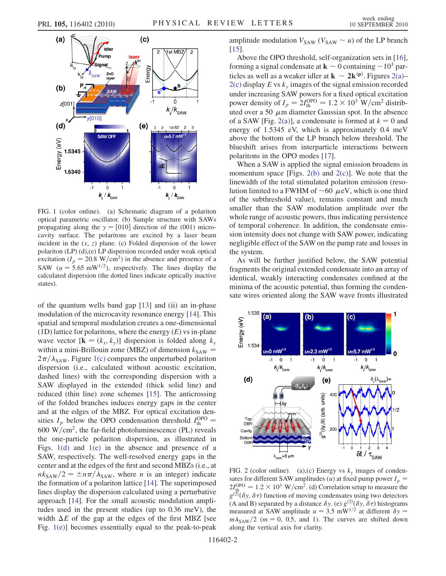

<span id="page-1-0"></span>FIG. 1 (color online). (a) Schematic diagram of a polariton optical parametric oscillator. (b) Sample structure with SAWs propagating along the  $y = [010]$  direction of the (001) microcavity surface. The polaritons are excited by a laser beam incident in the  $(x, z)$  plane. (c) Folded dispersion of the lower polariton (LP) (d),(e) LP dispersion recorded under weak optical excitation ( $I_p = 20.8 \text{ W/cm}^2$ ) in the absence and presence of a SAW ( $u = 5.65$  mW<sup>1/2</sup>), respectively. The lines display the calculated dispersion (the dotted lines indicate optically inactive states).

of the quantum wells band gap [\[13\]](#page-3-12) and (ii) an in-phase modulation of the microcavity resonance energy [\[14\]](#page-3-13). This spatial and temporal modulation creates a one-dimensional (1D) lattice for polaritons, where the energy  $(E)$  vs in-plane wave vector  $[\mathbf{k} = (k_x, k_y)]$  dispersion is folded along  $k_y$ within a mini-Brillouin zone (MBZ) of dimension  $k_{SAW}$  =  $2\pi/\lambda_{\text{SAW}}$ . Figure [1\(c\)](#page-1-0) compares the unperturbed polariton dispersion (i.e., calculated without acoustic excitation) dispersion (i.e., calculated without acoustic excitation, dashed lines) with the corresponding dispersion with a SAW displayed in the extended (thick solid line) and reduced (thin line) zone schemes [[15](#page-3-14)]. The anticrossing of the folded branches induces energy gaps in the center and at the edges of the MBZ. For optical excitation densities  $I_p$  below the OPO condensation threshold  $I_{\text{th}}^{\text{OPO}} =$ states  $t_p$  below the GFO condensation threshold  $t_{th}$  = 600 W/cm<sup>2</sup>, the far-field photoluminescence (PL) reveals the one-particle polariton dispersion, as illustrated in Figs. [1\(d\)](#page-1-0) and [1\(e\)](#page-1-0) in the absence and presence of a SAW, respectively. The well-resolved energy gaps in the center and at the edges of the first and second MBZs (i.e., at  $nk_{\text{SAW}}/2 = \pm n\pi/\lambda_{\text{SAW}}$ , where *n* is an integer) indicate<br>the formation of a polariton lattice [14]. The superimposed the formation of a polariton lattice [\[14\]](#page-3-13). The superimposed lines display the dispersion calculated using a perturbative approach [[14](#page-3-13)]. For the small acoustic modulation amplitudes used in the present studies (up to 0.36 meV), the width  $\Delta E$  of the gap at the edges of the first MBZ [see Fig. [1\(e\)](#page-1-0)] becomes essentially equal to the peak-to-peak

amplitude modulation  $V_{SAW}$  ( $V_{SAW} \sim u$ ) of the LP branch [15] [\[15\]](#page-3-14).

Above the OPO threshold, self-organization sets in [[16\]](#page-3-15), forming a signal condensate at  $\mathbf{k} \sim 0$  containing  $\sim 10^3$  particles as well as a weaker idler at  $\mathbf{k} \sim 2\mathbf{k}^{(p)}$ . Figures 2(a) ticles as well as a weaker idler at  $\mathbf{k} \sim 2\mathbf{k}^{(\mathbf{p})}$ . Figures [2\(a\)–](#page-1-1)<br>2(c) display E vs k images of the signal emission recorded  $2(c)$  display E vs  $k<sub>v</sub>$  images of the signal emission recorded under increasing SAW powers for a fixed optical excitation power density of  $I_p = 2I_{\text{th}}^{\text{OPO}} = 1.2 \times 10^3 \text{ W/cm}^2$  distributed over a 50 *um* diameter Gaussian spot. In the absence uted over a 50  $\mu$ m diameter Gaussian spot. In the absence of a SAW [Fig. [2\(a\)\]](#page-1-1), a condensate is formed at  $k = 0$  and energy of 1.5345 eV, which is approximately 0.4 meV above the bottom of the LP branch below threshold. The blueshift arises from interparticle interactions between polaritons in the OPO modes [[17](#page-3-16)].

When a SAW is applied the signal emission broadens in momentum space [Figs.  $2(b)$  and  $2(c)$ ]. We note that the linewidth of the total stimulated polariton emission (resolution limited to a FWHM of  $\sim 60 \mu$ eV, which is one third<br>of the subthreshold value) remains constant and much of the subthreshold value), remains constant and much smaller than the SAW modulation amplitude over the whole range of acoustic powers, thus indicating persistence of temporal coherence. In addition, the condensate emission intensity does not change with SAW power, indicating negligible effect of the SAW on the pump rate and losses in the system.

As will be further justified below, the SAW potential fragments the original extended condensate into an array of identical, weakly interacting condensates confined at the minima of the acoustic potential, thus forming the condensate wires oriented along the SAW wave fronts illustrated



<span id="page-1-1"></span>FIG. 2 (color online). (a),(c) Energy vs  $k_y$  images of condensates for different SAW amplitudes (u) at fixed pump power  $I_p$  =  $2I_{\text{th}}^{\text{OPO}} = 1.2 \times 10^3 \text{ W/cm}^2$ . (d) Correlation setup to measure the  $g_{(2)}^{(1)}(\delta y, \delta \tau)$  function of moving condensates using two detectors  $g^{(2)}(\delta y, \delta \tau)$  function of moving condensates using two detectors<br>(A and B) separated by a distance  $\delta y$  (e)  $g^{(2)}(\delta y, \delta \tau)$  histograms (A and B) separated by a distance  $\delta y$ . (e)  $g^{(2)}(\delta y, \delta \tau)$  histograms<br>measured at SAW amplitude  $u = 3.5$  mW<sup>1/2</sup> at different  $\delta y =$ measured at SAW amplitude  $u = 3.5$  mW<sup>1/2</sup> at different  $\delta y =$ m-along the vertical axis for clarity.  $m\lambda_{\text{SAW}}/2$  (m = 0, 0.5, and 1). The curves are shifted down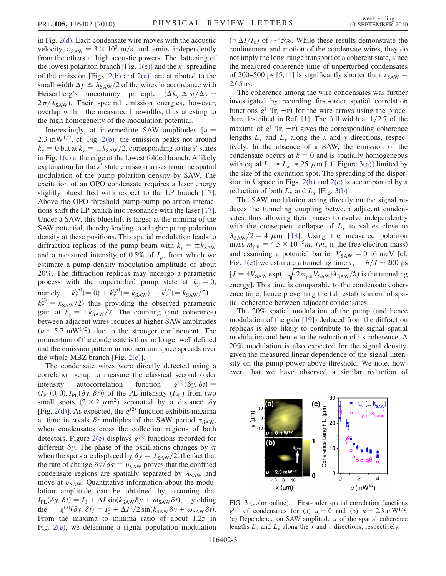in Fig. [2\(d\).](#page-1-1) Each condensate wire moves with the acoustic velocity  $v_{\text{SAW}} = 3 \times 10^3 \text{ m/s}$  and emits independently from the others at high acoustic powers. The flattening of the lowest polariton branch [Fig. [1\(e\)\]](#page-1-0) and the  $k_y$  spreading of the emission [Figs.  $2(b)$  and  $2(c)$ ] are attributed to the small width  $\Delta y \le \lambda_{\text{SAW}}/2$  of the wires in accordance with<br>Heisenberg's uncertainty principle  $(\Delta k \ge \pi/\Delta y \sim$ Heisenberg's uncertainty principle  $(\Delta k_y \ge \pi/\Delta y \sim$ <br> $2\pi/\lambda$ . Their spectral emission energies however  $2\pi/\lambda_{\text{SAW}}$ ). Their spectral emission energies, however, overlap within the measured linewidths thus attesting to overlap within the measured linewidths, thus attesting to the high homogeneity of the modulation potential.

Interestingly, at intermediate SAW amplitudes  $\lceil u \rceil$ 2.3 mW<sup>1/2</sup>, cf. Fig. [2\(b\)](#page-1-1)] the emission peaks not around  $k_y = 0$  but at  $k_y = \pm k_{SAW}/2$ , corresponding to the s' states in Fig. [1\(c\)](#page-1-0) at the edge of the lowest folded branch. A likely explanation for the  $s'$ -state emission arises from the spatial<br>modulation of the nump polariton density by SAW. The modulation of the pump polariton density by SAW. The excitation of an OPO condensate requires a laser energy slightly blueshifted with respect to the LP branch [\[17\]](#page-3-16). Above the OPO threshold pump-pump polariton interactions shift the LP branch into resonance with the laser [[17\]](#page-3-16). Under a SAW, this blueshift is larger at the minima of the SAW potential, thereby leading to a higher pump polariton density at these positions. This spatial modulation leads to diffraction replicas of the pump beam with  $k_y = \pm k_{SAW}$ and a measured intensity of 0.5% of  $I_p$ , from which we estimate a pump density modulation amplitude of about 20%. The diffraction replicas may undergo a parametric process with the unperturbed pump state at  $k_y = 0$ ,<br>namely,  $k_y^{(p)}(=0) + k_y^{(p)}(=k_{sAW}) \rightarrow k_y^{(s)}(=k_{sAW}/2) +$ namely,  $k_y^{(p)}(=0) + k_y^{(p)}(=k_{\text{SAW}}) \rightarrow k_y^{(s)}$  $y_y^{(p)}(0) + k_y^{(p)}(k_x) + k_y^{(s)}(k_y) + k_{\text{SAW}}^{(s)}(k_y)$  $k_y^{(i)}$   $(k_{\text{SAW}}/2)$  thus providing the observed parametric<br>gain at  $k = \pm k_{\text{SAW}}/2$ . The coupling (and coherence) gain at  $k_y = \pm k_{SAW}/2$ . The coupling (and coherence) between adjacent wires reduces at higher SAW amplitudes  $(u \sim 5.7 \text{ mW}^{1/2})$  due to the stronger confinement. The momentum of the condensate is thus no longer well defined momentum of the condensate is thus no longer well defined and the emission pattern in momentum space spreads over the whole MBZ branch [Fig. [2\(c\)](#page-1-1)].

The condensate wires were directly detected using a correlation setup to measure the classical second order intensity autocorrelation function  $g^{(2)}(\delta y, \delta t) =$ <br>  $\langle I_{PL}(0, 0), I_{PL}(\delta y, \delta t) \rangle$  of the PL intensity  $(I_{PL})$  from two<br>
small spots  $(2 \times 2, \mu m^2)$  separated by a distance  $\delta y$ small spots  $(2 \times 2 \mu m^2)$  separated by a distance  $\delta y$ [Fig. [2\(d\)\]](#page-1-1). As expected, the  $g^{(2)}$  function exhibits maxima at time intervals  $\delta t$  multiples of the SAW period  $\tau_{SAW}$ , when condensates cross the collection regions of both detectors. Figure [2\(e\)](#page-1-1) displays  $g^{(2)}$  functions recorded for different  $\delta y$ . The phase of the oscillations changes by  $\pi$ when the spots are displaced by  $\delta y = \lambda_{SAW}/2$ : the fact that the rate of change  $\delta y/\delta \tau = y_{SAW}$  rowes that the confined the rate of change  $\delta y/\delta \tau = v_{\text{SAW}}$  proves that the confined condensate regions are spatially separated by  $\lambda_{SAW}$  and<br>move at  $\nu_{SAW}$ . Quantitative information about the modumove at  $v_{SAW}$ . Quantitative information about the modulation amplitude can be obtained by assuming that  $I_{PL}(\delta y, \delta t) = I_0 + \Delta I \sin(k_{SAW} \delta y + \omega_{SAW} \delta t)$ , yielding<br>the  $g^{(2)}(\delta y, \delta t) = I_0^2 + \Delta I^2 / 2 \sin(k_{SAW} \delta y + \omega_{SAW} \delta t)$ . the  $g^{(2)}(\delta y, \delta t) = I_0^2 + \Delta I^2 / 2 \sin(k_{SAW} \delta y + \omega_{SAW} \delta t)$ .<br>From the maxima to minima ratio of about 1.25 in  $(\delta y, \delta t) = I_0^2 + \Delta I^2 / 2 \sin(k_{SAW} \delta y + \omega_{SAW} \delta t).$ <br>maxima to minima ratio of about 1.25 in Fig. [2\(e\)](#page-1-1), we determine a signal population modulation

 $(\propto \Delta I/I_0)$  of  $\sim$ 45%. While these results demonstrate the confinement and motion of the condensate wires, they do confinement and motion of the condensate wires, they do not imply the long-range transport of a coherent state, since the measured coherence time of unperturbed condensates of 200–[5](#page-3-4)00 ps [5[,11\]](#page-3-10) is significantly shorter than  $\tau_{SAW}$  = <sup>2</sup>:65 ns.

The coherence among the wire condensates was further investigated by recording first-order spatial correlation functions  $g^{(1)}(\mathbf{r}, -\mathbf{r})$  for the wire arrays using the proce-<br>dure described in Ref. [1]. The full width at  $1/2.7$  of the dure described in Ref. [[1](#page-3-0)]. The full width at  $1/2.7$  of the maxima of  $g^{(1)}(\mathbf{r}, -\mathbf{r})$  gives the corresponding coherence<br>lengths  $I$  and  $I$  along the x and y directions respeclengths  $L_x$  and  $L_y$  along the x and y directions, respectively. In the absence of a SAW, the emission of the condensate occurs at  $k = 0$  and is spatially homogeneous with equal  $L_v \approx L_x \approx 25 \mu m$  [cf. Figure [3\(a\)](#page-2-0)] limited by the size of the excitation spot. The spreading of the dispersion in  $k$  space in Figs. [2\(b\)](#page-1-1) and [2\(c\)](#page-1-1) is accompanied by a reduction of both  $L<sub>v</sub>$  and  $L<sub>x</sub>$  [Fig. [3\(b\)](#page-2-0)].

The SAW modulation acting directly on the signal reduces the tunneling coupling between adjacent condensates, thus allowing their phases to evolve independently with the consequent collapse of  $L<sub>y</sub>$  to values close to mass  $m_{pol} = 4.5 \times 10^{-5} m_e$  ( $m_e$  is the free electron mass)<br>and assuming a potential barrier  $V_{c,} = 0.16$  meV [cf  $\lambda_{\text{SAW}}/2 = 4 \mu \text{m}$  [[18](#page-3-17)]. Using the measured polariton and assuming a potential barrier  $V_{SAW} = 0.16$  meV [cf. Fig. [1\(e\)\]](#page-1-0) we estimate a tunneling time  $\tau_t = h/J \sim 200$  ps  $[J = 4V<sub>SAW</sub> exp(-\sqrt{\{2m_{\text{pol}}V<sub>SAW</sub>}\}\Lambda<sub>SAW</sub>/\hbar)}$  is the tunneling energy]. This time is comparable to the condensate coherence time, hence preventing the full establishment of spatial coherence between adjacent condensates.

The 20% spatial modulation of the pump (and hence modulation of the gain [\[19\]](#page-3-18)) deduced from the diffraction replicas is also likely to contribute to the signal spatial modulation and hence to the reduction of its coherence. A 20% modulation is also expected for the signal density, given the measured linear dependence of the signal intensity on the pump power above threshold. We note, however, that we have observed a similar reduction of



<span id="page-2-0"></span>FIG. 3 (color online). First-order spatial correlation functions  $g^{(1)}$  of condensates for (a)  $u = 0$  and (b)  $u = 2.3$  mW<sup>1/2</sup>. (c) Dependence on SAW amplitude  $u$  of the spatial coherence lengths  $L_x$  and  $L_y$  along the x and y directions, respectively.